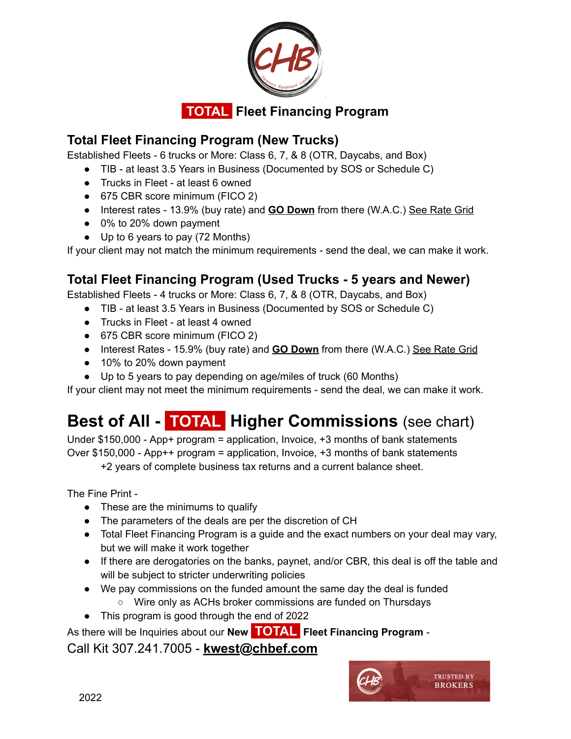

### **Total Fleet Financing Program (New Trucks)**

Established Fleets - 6 trucks or More: Class 6, 7, & 8 (OTR, Daycabs, and Box)

- TIB at least 3.5 Years in Business (Documented by SOS or Schedule C)
- Trucks in Fleet at least 6 owned
- 675 CBR score minimum (FICO 2)
- Interest rates 13.9% (buy rate) and **GO Down** from there (W.A.C.) See Rate Grid
- 0% to 20% down payment
- Up to 6 years to pay (72 Months)

If your client may not match the minimum requirements - send the deal, we can make it work.

### **Total Fleet Financing Program (Used Trucks - 5 years and Newer)**

Established Fleets - 4 trucks or More: Class 6, 7, & 8 (OTR, Daycabs, and Box)

- TIB at least 3.5 Years in Business (Documented by SOS or Schedule C)
- Trucks in Fleet at least 4 owned
- 675 CBR score minimum (FICO 2)
- Interest Rates 15.9% (buy rate) and **GO Down** from there (W.A.C.) See Rate Grid
- 10% to 20% down payment
- Up to 5 years to pay depending on age/miles of truck (60 Months)

If your client may not meet the minimum requirements - send the deal, we can make it work.

# **Best of All - .TOTAL. Higher Commissions** (see chart)

Under \$150,000 - App+ program = application, Invoice, +3 months of bank statements Over \$150,000 - App++ program = application, Invoice, +3 months of bank statements

+2 years of complete business tax returns and a current balance sheet.

The Fine Print -

- These are the minimums to qualify
- The parameters of the deals are per the discretion of CH
- Total Fleet Financing Program is a guide and the exact numbers on your deal may vary, but we will make it work together
- If there are derogatories on the banks, paynet, and/or CBR, this deal is off the table and will be subject to stricter underwriting policies
- We pay commissions on the funded amount the same day the deal is funded
	- Wire only as ACHs broker commissions are funded on Thursdays
- This program is good through the end of 2022

As there will be Inquiries about our **New .TOTAL. Fleet Financing Program** -

Call Kit 307.241.7005 - **kwest@chbef.com**